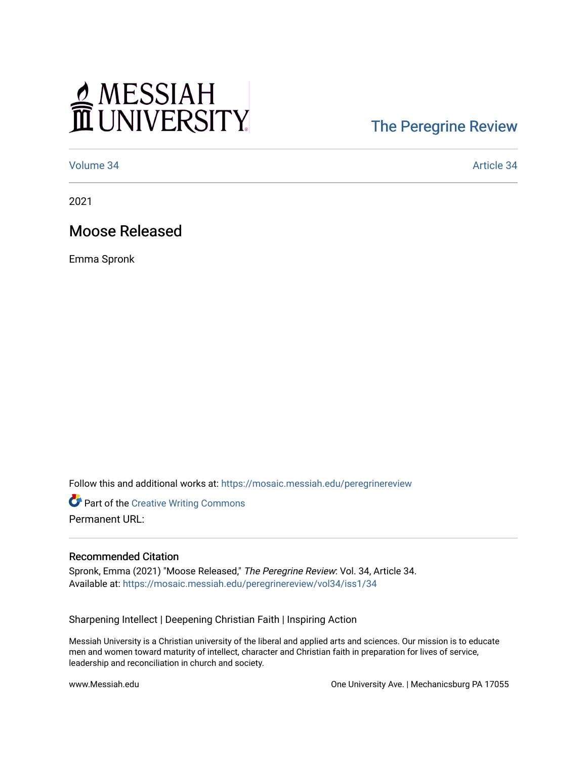# MESSIAH

## [The Peregrine Review](https://mosaic.messiah.edu/peregrinereview)

[Volume 34](https://mosaic.messiah.edu/peregrinereview/vol34) [Article 34](https://mosaic.messiah.edu/peregrinereview/vol34/iss1/34) 

2021

### Moose Released

Emma Spronk

Follow this and additional works at: [https://mosaic.messiah.edu/peregrinereview](https://mosaic.messiah.edu/peregrinereview?utm_source=mosaic.messiah.edu%2Fperegrinereview%2Fvol34%2Fiss1%2F34&utm_medium=PDF&utm_campaign=PDFCoverPages) 

**Part of the Creative Writing Commons** Permanent URL:

#### Recommended Citation

Spronk, Emma (2021) "Moose Released," The Peregrine Review: Vol. 34, Article 34. Available at: [https://mosaic.messiah.edu/peregrinereview/vol34/iss1/34](https://mosaic.messiah.edu/peregrinereview/vol34/iss1/34?utm_source=mosaic.messiah.edu%2Fperegrinereview%2Fvol34%2Fiss1%2F34&utm_medium=PDF&utm_campaign=PDFCoverPages)

Sharpening Intellect | Deepening Christian Faith | Inspiring Action

Messiah University is a Christian university of the liberal and applied arts and sciences. Our mission is to educate men and women toward maturity of intellect, character and Christian faith in preparation for lives of service, leadership and reconciliation in church and society.

www.Messiah.edu **One University Ave. | Mechanicsburg PA 17055**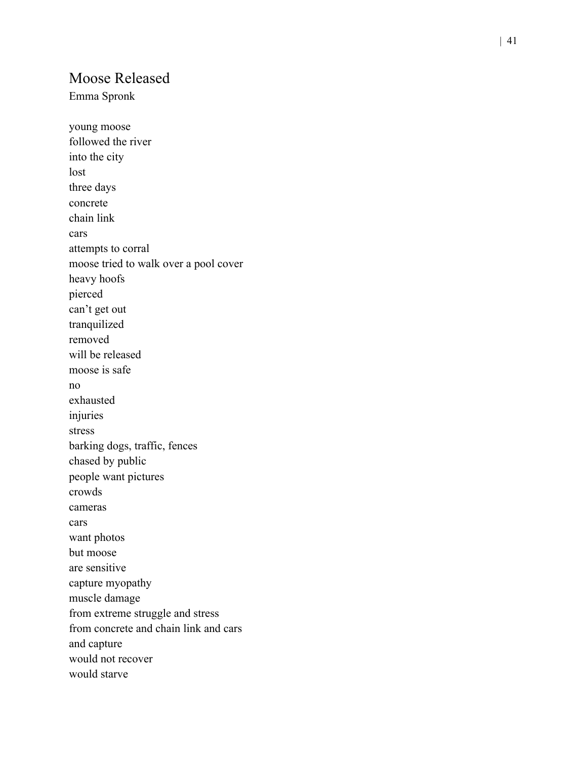#### Moose Released

Emma Spronk

young moose followed the river into the city lost three days concrete chain link cars attempts to corral moose tried to walk over a pool cover heavy hoofs pierced can't get out tranquilized removed will be released moose is safe no exhausted injuries stress barking dogs, traffic, fences chased by public people want pictures crowds cameras cars want photos but moose are sensitive capture myopathy muscle damage from extreme struggle and stress from concrete and chain link and cars and capture would not recover would starve